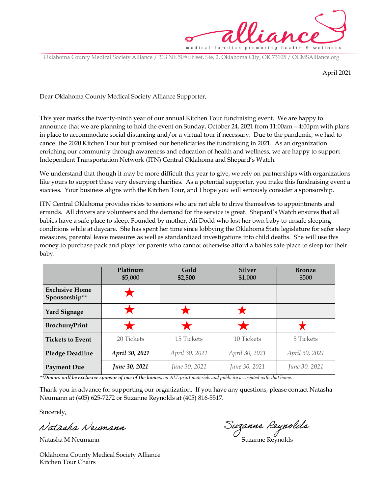

Oklahoma County Medical Society Alliance / 313 NE 50<sup>th</sup> Street, Ste, 2, Oklahoma City, OK 73105 / OCMSAlliance.org

April 2021

Dear Oklahoma County Medical Society Alliance Supporter,

This year marks the twenty-ninth year of our annual Kitchen Tour fundraising event. We are happy to announce that we are planning to hold the event on Sunday, October 24, 2021 from 11:00am – 4:00pm with plans in place to accommodate social distancing and/or a virtual tour if necessary. Due to the pandemic, we had to cancel the 2020 Kitchen Tour but promised our beneficiaries the fundraising in 2021. As an organization enriching our community through awareness and education of health and wellness, we are happy to support Independent Transportation Network (ITN) Central Oklahoma and Shepard's Watch.

We understand that though it may be more difficult this year to give, we rely on partnerships with organizations like yours to support these very deserving charities. As a potential supporter, you make this fundraising event a success. Your business aligns with the Kitchen Tour, and I hope you will seriously consider a sponsorship.

ITN Central Oklahoma provides rides to seniors who are not able to drive themselves to appointments and errands. All drivers are volunteers and the demand for the service is great. Shepard's Watch ensures that all babies have a safe place to sleep. Founded by mother, Ali Dodd who lost her own baby to unsafe sleeping conditions while at daycare. She has spent her time since lobbying the Oklahoma State legislature for safer sleep measures, parental leave measures as well as standardized investigations into child deaths. She will use this money to purchase pack and plays for parents who cannot otherwise afford a babies safe place to sleep for their baby.

|                                        | Platinum<br>\$5,000 | Gold<br>\$2,500 | <b>Silver</b><br>\$1,000 | <b>Bronze</b><br>\$500 |
|----------------------------------------|---------------------|-----------------|--------------------------|------------------------|
| <b>Exclusive Home</b><br>Sponsorship** |                     |                 |                          |                        |
| <b>Yard Signage</b>                    |                     |                 |                          |                        |
| <b>Brochure/Print</b>                  |                     |                 |                          |                        |
| <b>Tickets to Event</b>                | 20 Tickets          | 15 Tickets      | 10 Tickets               | 5 Tickets              |
| <b>Pledge Deadline</b>                 | April 30, 2021      | April 30, 2021  | April 30, 2021           | April 30, 2021         |
| <b>Payment Due</b>                     | June 30, 2021       | June 30, 2021   | June 30, 2021            | June 30, 2021          |

\*\*Donors will be exclusive sponsor of one of the homes, on ALL print materials and publicity associated with that home.

Thank you in advance for supporting our organization. If you have any questions, please contact Natasha Neumann at (405) 625-7272 or Suzanne Reynolds at (405) 816-5517.

Sincerely,

Natasha Neumann

Natasha M Neumann Suzanne Reynolds

Oklahoma County Medical Society Alliance Kitchen Tour Chairs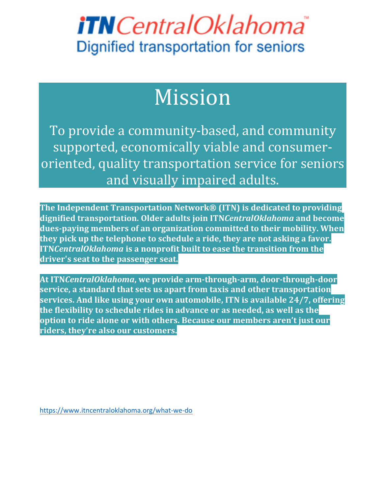# *iTNCentralOklahoma* **Dignified transportation for seniors**

# Mission

To provide a community-based, and community supported, economically viable and consumeroriented, quality transportation service for seniors and visually impaired adults.

**The Independent Transportation Network® (ITN) is dedicated to providing dignified transportation. Older adults join ITNCentralOklahoma and become** dues-paying members of an organization committed to their mobility. When they pick up the telephone to schedule a ride, they are not asking a favor. **ITNCentralOklahoma** is a nonprofit built to ease the transition from the driver's seat to the passenger seat.

At ITN*CentralOklahoma*, we provide arm-through-arm, door-through-door **service, a standard that sets us apart from taxis and other transportation services. And like using your own automobile, ITN is available 24/7, offering** the flexibility to schedule rides in advance or as needed, as well as the **option to ride alone or with others. Because our members aren't just our riders, they're also our customers.**

https://www.itncentraloklahoma.org/what-we-do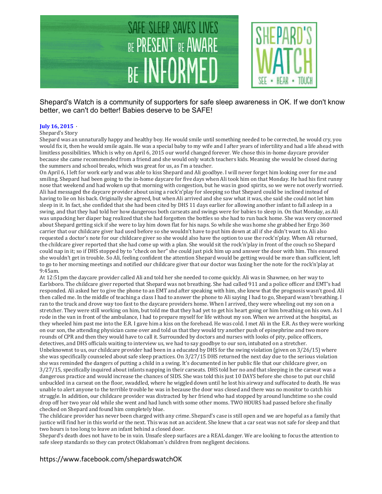

Shepard's Watch is a community of supporters for safe sleep awareness in OK. If we don't know better, we can't do better! Babies deserve to be SAFE!

#### **July 16, 2015** ·

#### Shepard's Story

Shepard was an unnaturally happy and healthy boy. He would smile until something needed to be corrected, he would cry, you would fix it, then he would smile again. He was a special baby to my wife and I after years of infertility and had a life ahead with limitless possibilities. Which is why on April 6, 2015 our world changed forever. We chose this in-home daycare provider because she came recommended from a friend and she would only watch teachers kids. Meaning she would be closed during the summers and school breaks, which was great for us, as I'm a teacher.

On April 6, I left for work early and was able to kiss Shepard and Ali goodbye. I will never forget him looking over for me and smiling. Shepard had been going to the in-home daycare for five days when Ali took him on that Monday. He had his first runny nose that weekend and had woken up that morning with congestion, but he was in good spirits, so we were not overly worried. Ali had messaged the daycare provider about using a rock'n'play for sleeping so that Shepard could be inclined instead of having to lie on his back. Originally she agreed, but when Ali arrived and she saw what it was, she said she could not let him sleep in it. In fact, she confided that she had been cited by DHS 11 days earlier for allowing another infant to fall asleep in a swing, and that they had told her how dangerous both carseats and swings were for babies to sleep in. On that Monday, as Ali was unpacking her diaper bag realized that she had forgotten the bottles so she had to run back home. She was very concerned about Shepard getting sick if she were to lay him down flat for his naps. So while she was home she grabbed her Ergo 360 carrier that our childcare giver had used before so she wouldn't have to put him down at all if she didn't want to. Ali also requested a doctor's note for our childcare giver so she would also have the option to use the rock'n'play. When Ali returned, the childcare giver reported that she had come up with a plan. She would sit the rock'n'play in front of the couch so Shepard could nap in it; so if DHS stopped by to "check on her" she could just pick him up and answer the door with him. This ensured she wouldn't get in trouble. So Ali, feeling confident the attention Shepard would be getting would be more than sufficient, left to go to her morning meetings and notified our childcare giver that our doctor was faxing her the note for the rock'n'play at 9:45am.

At 12:51pm the daycare provider called Ali and told her she needed to come quickly. Ali was in Shawnee, on her way to Earlsboro. The childcare giver reported that Shepard was not breathing. She had called 911 and a police officer and EMT's had responded. Ali asked her to give the phone to an EMT and after speaking with him, she knew that the prognosis wasn't good. Ali then called me. In the middle of teaching a class I had to answer the phone to Ali saying I had to go, Shepard wasn't breathing. I ran to the truck and drove way too fast to the daycare providers home. When I arrived, they were wheeling out my son on a stretcher. They were still working on him, but told me that they had yet to get his heart going or him breathing on his own. As I rode in the van in front of the ambulance, I had to prepare myself for life without my son. When we arrived at the hospital, as they wheeled him past me into the E.R. I gave him a kiss on the forehead. He was cold. I met Ali in the E.R. As they were working on our son, the attending physician came over and told us that they would try another push of epinephrine and two more rounds of CPR and then they would have to call it. Surrounded by doctors and nurses with looks of pity, police officers, detectives, and DHS officials waiting to interview us, we had to say goodbye to our son, intubated on a stretcher. Unbeknownst to us, our childcare provider had been in a educated by DHS for the swing violation (given on  $3/26/15$ ) where she was specifically counseled about safe sleep practices. On  $3/27/15$  DHS returned the next day due to the serious violation she was reminded the dangers of putting a child in a swing. It's documented in her public file that our childcare giver, on 3/27/15, specifically inquired about infants napping in their carseats. DHS told her no and that sleeping in the carseat was a dangerous practice and would increase the chances of SIDS. She was told this just 10 DAYS before she chose to put our child unbuckled in a carseat on the floor, swaddled, where he wiggled down until he lost his airway and suffocated to death. He was unable to alert anyone to the terrible trouble he was in because the door was closed and there was no monitor to catch his struggle. In addition, our childcare provider was distracted by her friend who had stopped by around lunchtime so she could drop off her two year old while she went and had lunch with some other moms. TWO HOURS had passed before she finally checked on Shepard and found him completely blue.

The childcare provider has never been charged with any crime. Shepard's case is still open and we are hopeful as a family that justice will find her in this world or the next. This was not an accident. She knew that a car seat was not safe for sleep and that two hours is too long to leave an infant behind a closed door.

Shepard's death does not have to be in vain. Unsafe sleep surfaces are a REAL danger. We are looking to focus the attention to safe sleep standards so they can protect Oklahoman's children from negligent decisions.

#### https://www.facebook.com/shepardswatchOK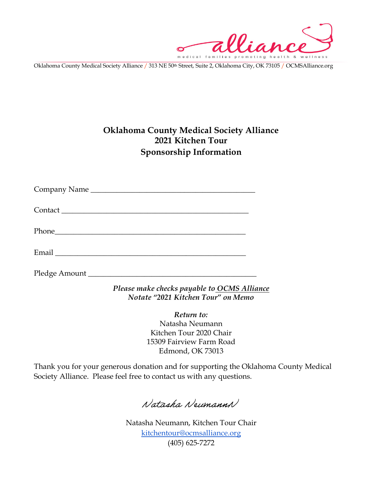alliance medical families pro

Oklahoma County Medical Society Alliance / 313 NE 50th Street, Suite 2, Oklahoma City, OK 73105 / OCMSAlliance.org

### **Oklahoma County Medical Society Alliance 2021 Kitchen Tour Sponsorship Information**

Company Name \_\_\_\_\_\_\_\_\_\_\_\_\_\_\_\_\_\_\_\_\_\_\_\_\_\_\_\_\_\_\_\_\_\_\_\_\_\_\_\_\_\_\_\_

Contact \_\_\_\_\_\_\_\_\_\_\_\_\_\_\_\_\_\_\_\_\_\_\_\_\_\_\_\_\_\_\_\_\_\_\_\_\_\_\_\_\_\_\_\_\_\_\_\_\_\_

Phone\_\_\_\_\_\_\_\_\_\_\_\_\_\_\_\_\_\_\_\_\_\_\_\_\_\_\_\_\_\_\_\_\_\_\_\_\_\_\_\_\_\_\_\_\_\_\_\_\_\_\_

Email \_\_\_\_\_\_\_\_\_\_\_\_\_\_\_\_\_\_\_\_\_\_\_\_\_\_\_\_\_\_\_\_\_\_\_\_\_\_\_\_\_\_\_\_\_\_\_\_\_\_\_

Pledge Amount \_\_\_\_\_\_\_\_\_\_\_\_\_\_\_\_\_\_\_\_\_\_\_\_\_\_\_\_\_\_\_\_\_\_\_\_\_\_\_\_\_\_\_\_\_

*Please make checks payable to OCMS Alliance Notate "2021 Kitchen Tour" on Memo* 

*Return to:*

Natasha Neumann Kitchen Tour 2020 Chair 15309 Fairview Farm Road Edmond, OK 73013

Thank you for your generous donation and for supporting the Oklahoma County Medical Society Alliance. Please feel free to contact us with any questions.

Natasha NeumannN

Natasha Neumann, Kitchen Tour Chair kitchentour@ocmsalliance.org (405) 625-7272